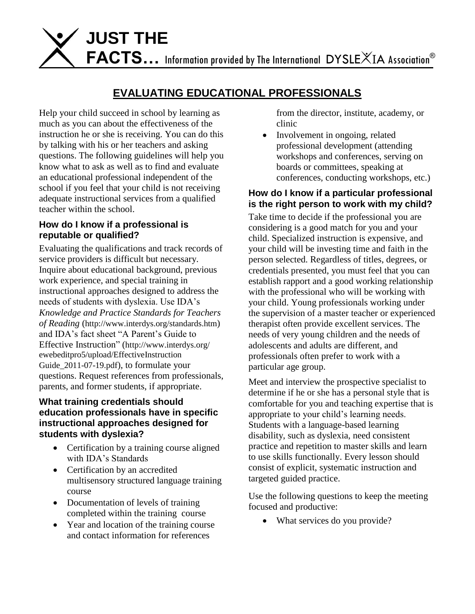

# **EVALUATING EDUCATIONAL PROFESSIONALS**

Help your child succeed in school by learning as much as you can about the effectiveness of the instruction he or she is receiving. You can do this by talking with his or her teachers and asking questions. The following guidelines will help you know what to ask as well as to find and evaluate an educational professional independent of the school if you feel that your child is not receiving adequate instructional services from a qualified teacher within the school.

## **How do I know if a professional is reputable or qualified?**

Evaluating the qualifications and track records of service providers is difficult but necessary. Inquire about educational background, previous work experience, and special training in instructional approaches designed to address the needs of students with dyslexia. Use IDA's *Knowledge and Practice Standards for Teachers of Reading* (http://www.interdys.org/standards.htm) and IDA's fact sheet "A Parent's Guide to Effective Instruction" (http://www.interdys.org/ ewebeditpro5/upload/EffectiveInstruction Guide\_2011-07-19.pdf), to formulate your questions. Request references from professionals, parents, and former students, if appropriate.

#### **What training credentials should education professionals have in specific instructional approaches designed for students with dyslexia?**

- Certification by a training course aligned with IDA's Standards
- Certification by an accredited multisensory structured language training course
- Documentation of levels of training completed within the training course
- Year and location of the training course and contact information for references

from the director, institute, academy, or clinic

• Involvement in ongoing, related professional development (attending workshops and conferences, serving on boards or committees, speaking at conferences, conducting workshops, etc.)

# **How do I know if a particular professional is the right person to work with my child?**

Take time to decide if the professional you are considering is a good match for you and your child. Specialized instruction is expensive, and your child will be investing time and faith in the person selected. Regardless of titles, degrees, or credentials presented, you must feel that you can establish rapport and a good working relationship with the professional who will be working with your child. Young professionals working under the supervision of a master teacher or experienced therapist often provide excellent services. The needs of very young children and the needs of adolescents and adults are different, and professionals often prefer to work with a particular age group.

Meet and interview the prospective specialist to determine if he or she has a personal style that is comfortable for you and teaching expertise that is appropriate to your child's learning needs. Students with a language-based learning disability, such as dyslexia, need consistent practice and repetition to master skills and learn to use skills functionally. Every lesson should consist of explicit, systematic instruction and targeted guided practice.

Use the following questions to keep the meeting focused and productive:

• What services do you provide?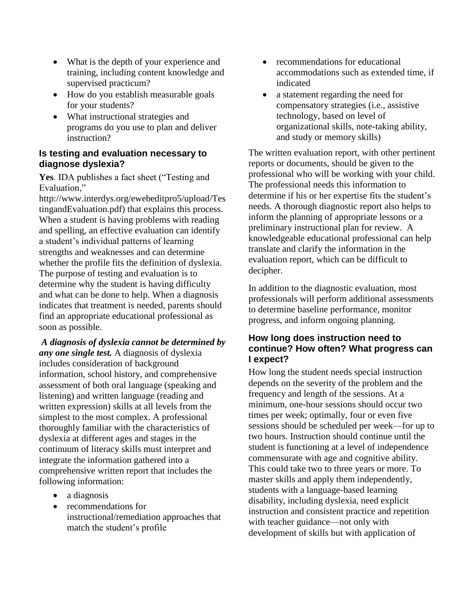- What is the depth of your experience and training, including content knowledge and supervised practicum?
- How do you establish measurable goals for your students?
- What instructional strategies and programs do you use to plan and deliver instruction?

## **Is testing and evaluation necessary to diagnose dyslexia?**

**Yes**. IDA publishes a fact sheet ("Testing and Evaluation,"

http://www.interdys.org/ewebeditpro5/upload/Tes tingandEvaluation.pdf) that explains this process. When a student is having problems with reading and spelling, an effective evaluation can identify a student's individual patterns of learning strengths and weaknesses and can determine whether the profile fits the definition of dyslexia. The purpose of testing and evaluation is to determine why the student is having difficulty and what can be done to help. When a diagnosis indicates that treatment is needed, parents should find an appropriate educational professional as soon as possible.

*A diagnosis of dyslexia cannot be determined by any one single test.* A diagnosis of dyslexia includes consideration of background information, school history, and comprehensive assessment of both oral language (speaking and listening) and written language (reading and written expression) skills at all levels from the simplest to the most complex. A professional thoroughly familiar with the characteristics of dyslexia at different ages and stages in the continuum of literacy skills must interpret and integrate the information gathered into a comprehensive written report that includes the following information:

- a diagnosis
- recommendations for instructional/remediation approaches that match the student's profile
- recommendations for educational accommodations such as extended time, if indicated
- a statement regarding the need for compensatory strategies (i.e., assistive technology, based on level of organizational skills, note-taking ability, and study or memory skills)

The written evaluation report, with other pertinent reports or documents, should be given to the professional who will be working with your child. The professional needs this information to determine if his or her expertise fits the student's needs. A thorough diagnostic report also helps to inform the planning of appropriate lessons or a preliminary instructional plan for review. A knowledgeable educational professional can help translate and clarify the information in the evaluation report, which can be difficult to decipher.

In addition to the diagnostic evaluation, most professionals will perform additional assessments to determine baseline performance, monitor progress, and inform ongoing planning.

## **How long does instruction need to continue? How often? What progress can I expect?**

How long the student needs special instruction depends on the severity of the problem and the frequency and length of the sessions. At a minimum, one-hour sessions should occur two times per week; optimally, four or even five sessions should be scheduled per week—for up to two hours. Instruction should continue until the student is functioning at a level of independence commensurate with age and cognitive ability. This could take two to three years or more. To master skills and apply them independently, students with a language-based learning disability, including dyslexia, need explicit instruction and consistent practice and repetition with teacher guidance—not only with development of skills but with application of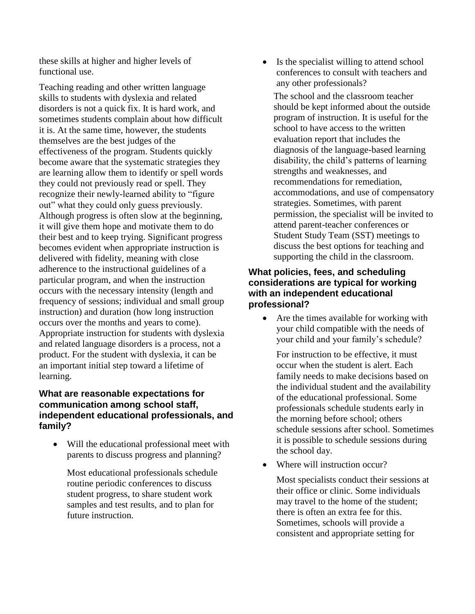these skills at higher and higher levels of functional use.

Teaching reading and other written language skills to students with dyslexia and related disorders is not a quick fix. It is hard work, and sometimes students complain about how difficult it is. At the same time, however, the students themselves are the best judges of the effectiveness of the program. Students quickly become aware that the systematic strategies they are learning allow them to identify or spell words they could not previously read or spell. They recognize their newly-learned ability to "figure out" what they could only guess previously. Although progress is often slow at the beginning, it will give them hope and motivate them to do their best and to keep trying. Significant progress becomes evident when appropriate instruction is delivered with fidelity, meaning with close adherence to the instructional guidelines of a particular program, and when the instruction occurs with the necessary intensity (length and frequency of sessions; individual and small group instruction) and duration (how long instruction occurs over the months and years to come). Appropriate instruction for students with dyslexia and related language disorders is a process, not a product. For the student with dyslexia, it can be an important initial step toward a lifetime of learning.

## **What are reasonable expectations for communication among school staff, independent educational professionals, and family?**

 Will the educational professional meet with parents to discuss progress and planning?

Most educational professionals schedule routine periodic conferences to discuss student progress, to share student work samples and test results, and to plan for future instruction.

• Is the specialist willing to attend school conferences to consult with teachers and any other professionals?

The school and the classroom teacher should be kept informed about the outside program of instruction. It is useful for the school to have access to the written evaluation report that includes the diagnosis of the language-based learning disability, the child's patterns of learning strengths and weaknesses, and recommendations for remediation, accommodations, and use of compensatory strategies. Sometimes, with parent permission, the specialist will be invited to attend parent-teacher conferences or Student Study Team (SST) meetings to discuss the best options for teaching and supporting the child in the classroom.

## **What policies, fees, and scheduling considerations are typical for working with an independent educational professional?**

• Are the times available for working with your child compatible with the needs of your child and your family's schedule?

For instruction to be effective, it must occur when the student is alert. Each family needs to make decisions based on the individual student and the availability of the educational professional. Some professionals schedule students early in the morning before school; others schedule sessions after school. Sometimes it is possible to schedule sessions during the school day.

• Where will instruction occur?

Most specialists conduct their sessions at their office or clinic. Some individuals may travel to the home of the student; there is often an extra fee for this. Sometimes, schools will provide a consistent and appropriate setting for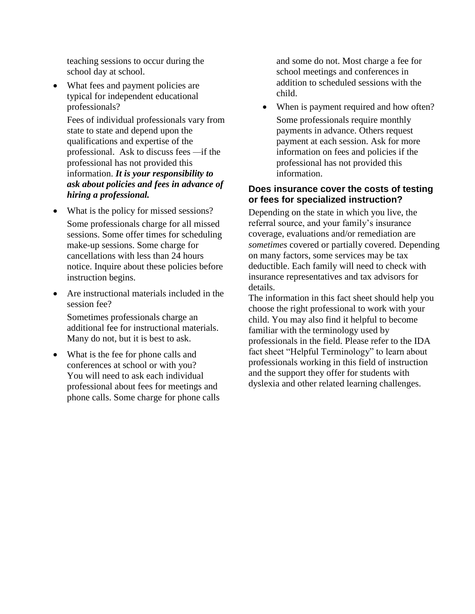teaching sessions to occur during the school day at school.

• What fees and payment policies are typical for independent educational professionals?

Fees of individual professionals vary from state to state and depend upon the qualifications and expertise of the professional. Ask to discuss fees *—*if the professional has not provided this information. *It is your responsibility to ask about policies and fees in advance of hiring a professional.* 

- What is the policy for missed sessions? Some professionals charge for all missed sessions. Some offer times for scheduling make-up sessions. Some charge for cancellations with less than 24 hours notice. Inquire about these policies before instruction begins.
- Are instructional materials included in the session fee?

Sometimes professionals charge an additional fee for instructional materials. Many do not, but it is best to ask.

• What is the fee for phone calls and conferences at school or with you? You will need to ask each individual professional about fees for meetings and phone calls. Some charge for phone calls

and some do not. Most charge a fee for school meetings and conferences in addition to scheduled sessions with the child.

• When is payment required and how often? Some professionals require monthly payments in advance. Others request payment at each session. Ask for more information on fees and policies if the professional has not provided this information.

## **Does insurance cover the costs of testing or fees for specialized instruction?**

Depending on the state in which you live, the referral source, and your family's insurance coverage, evaluations and/or remediation are *sometimes* covered or partially covered. Depending on many factors, some services may be tax deductible. Each family will need to check with insurance representatives and tax advisors for details.

The information in this fact sheet should help you choose the right professional to work with your child. You may also find it helpful to become familiar with the terminology used by professionals in the field. Please refer to the IDA fact sheet "Helpful Terminology" to learn about professionals working in this field of instruction and the support they offer for students with dyslexia and other related learning challenges.